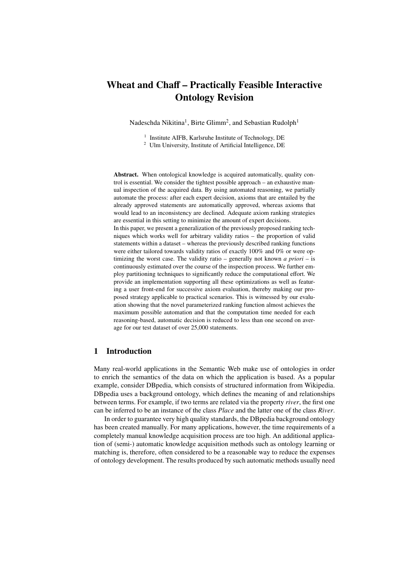# Wheat and Chaff – Practically Feasible Interactive Ontology Revision

Nadeschda Nikitina<sup>1</sup>, Birte Glimm<sup>2</sup>, and Sebastian Rudolph<sup>1</sup>

<sup>1</sup> Institute AIFB, Karlsruhe Institute of Technology, DE

<sup>2</sup> Ulm University, Institute of Artificial Intelligence, DE

Abstract. When ontological knowledge is acquired automatically, quality control is essential. We consider the tightest possible approach – an exhaustive manual inspection of the acquired data. By using automated reasoning, we partially automate the process: after each expert decision, axioms that are entailed by the already approved statements are automatically approved, whereas axioms that would lead to an inconsistency are declined. Adequate axiom ranking strategies are essential in this setting to minimize the amount of expert decisions.

In this paper, we present a generalization of the previously proposed ranking techniques which works well for arbitrary validity ratios – the proportion of valid statements within a dataset – whereas the previously described ranking functions were either tailored towards validity ratios of exactly 100% and 0% or were optimizing the worst case. The validity ratio – generally not known *a priori* – is continuously estimated over the course of the inspection process. We further employ partitioning techniques to significantly reduce the computational effort. We provide an implementation supporting all these optimizations as well as featuring a user front-end for successive axiom evaluation, thereby making our proposed strategy applicable to practical scenarios. This is witnessed by our evaluation showing that the novel parameterized ranking function almost achieves the maximum possible automation and that the computation time needed for each reasoning-based, automatic decision is reduced to less than one second on average for our test dataset of over 25,000 statements.

# 1 Introduction

Many real-world applications in the Semantic Web make use of ontologies in order to enrich the semantics of the data on which the application is based. As a popular example, consider DBpedia, which consists of structured information from Wikipedia. DBpedia uses a background ontology, which defines the meaning of and relationships between terms. For example, if two terms are related via the property *river*, the first one can be inferred to be an instance of the class *Place* and the latter one of the class *River*.

In order to guarantee very high quality standards, the DBpedia background ontology has been created manually. For many applications, however, the time requirements of a completely manual knowledge acquisition process are too high. An additional application of (semi-) automatic knowledge acquisition methods such as ontology learning or matching is, therefore, often considered to be a reasonable way to reduce the expenses of ontology development. The results produced by such automatic methods usually need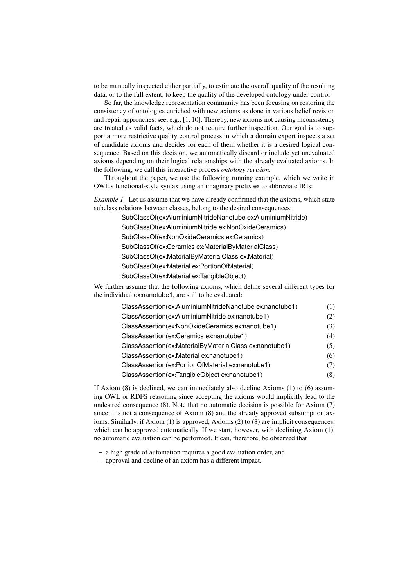to be manually inspected either partially, to estimate the overall quality of the resulting data, or to the full extent, to keep the quality of the developed ontology under control.

So far, the knowledge representation community has been focusing on restoring the consistency of ontologies enriched with new axioms as done in various belief revision and repair approaches, see, e.g.,  $[1, 10]$ . Thereby, new axioms not causing inconsistency are treated as valid facts, which do not require further inspection. Our goal is to support a more restrictive quality control process in which a domain expert inspects a set of candidate axioms and decides for each of them whether it is a desired logical consequence. Based on this decision, we automatically discard or include yet unevaluated axioms depending on their logical relationships with the already evaluated axioms. In the following, we call this interactive process *ontology revision*.

Throughout the paper, we use the following running example, which we write in OWL's functional-style syntax using an imaginary prefix ex to abbreviate IRIs:

*Example 1.* Let us assume that we have already confirmed that the axioms, which state subclass relations between classes, belong to the desired consequences:

> SubClassOf(ex:AluminiumNitrideNanotube ex:AluminiumNitride) SubClassOf(ex:AluminiumNitride ex:NonOxideCeramics) SubClassOf(ex:NonOxideCeramics ex:Ceramics) SubClassOf(ex:Ceramics ex:MaterialByMaterialClass) SubClassOf(ex:MaterialByMaterialClass ex:Material) SubClassOf(ex:Material ex:PortionOfMaterial) SubClassOf(ex:Material ex:TangibleObject)

We further assume that the following axioms, which define several different types for the individual ex:nanotube1, are still to be evaluated:

| ClassAssertion(ex:AluminiumNitrideNanotube ex:nanotube1) | (1) |
|----------------------------------------------------------|-----|
| ClassAssertion(ex:AluminiumNitride ex:nanotube1)         | (2) |
| ClassAssertion(ex:NonOxideCeramics ex:nanotube1)         | (3) |
| ClassAssertion(ex:Ceramics ex:nanotube1)                 | (4) |
| ClassAssertion(ex:MaterialByMaterialClass ex:nanotube1)  | (5) |
| ClassAssertion(ex:Material ex:nanotube1)                 | (6) |
| ClassAssertion(ex:PortionOfMaterial ex:nanotube1)        | (7) |
| ClassAssertion(ex:TangibleObject ex:nanotube1)           | (8) |

If Axiom (8) is declined, we can immediately also decline Axioms (1) to (6) assuming OWL or RDFS reasoning since accepting the axioms would implicitly lead to the undesired consequence (8). Note that no automatic decision is possible for Axiom (7) since it is not a consequence of Axiom (8) and the already approved subsumption axioms. Similarly, if Axiom (1) is approved, Axioms (2) to (8) are implicit consequences, which can be approved automatically. If we start, however, with declining Axiom  $(1)$ , no automatic evaluation can be performed. It can, therefore, be observed that

– a high grade of automation requires a good evaluation order, and

– approval and decline of an axiom has a different impact.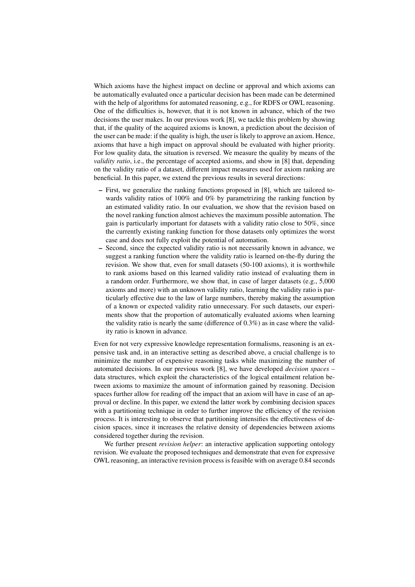Which axioms have the highest impact on decline or approval and which axioms can be automatically evaluated once a particular decision has been made can be determined with the help of algorithms for automated reasoning, e.g., for RDFS or OWL reasoning. One of the difficulties is, however, that it is not known in advance, which of the two decisions the user makes. In our previous work [8], we tackle this problem by showing that, if the quality of the acquired axioms is known, a prediction about the decision of the user can be made: if the quality is high, the user is likely to approve an axiom. Hence, axioms that have a high impact on approval should be evaluated with higher priority. For low quality data, the situation is reversed. We measure the quality by means of the *validity ratio*, i.e., the percentage of accepted axioms, and show in [8] that, depending on the validity ratio of a dataset, different impact measures used for axiom ranking are beneficial. In this paper, we extend the previous results in several directions:

- First, we generalize the ranking functions proposed in [8], which are tailored towards validity ratios of 100% and 0% by parametrizing the ranking function by an estimated validity ratio. In our evaluation, we show that the revision based on the novel ranking function almost achieves the maximum possible automation. The gain is particularly important for datasets with a validity ratio close to 50%, since the currently existing ranking function for those datasets only optimizes the worst case and does not fully exploit the potential of automation.
- Second, since the expected validity ratio is not necessarily known in advance, we suggest a ranking function where the validity ratio is learned on-the-fly during the revision. We show that, even for small datasets (50-100 axioms), it is worthwhile to rank axioms based on this learned validity ratio instead of evaluating them in a random order. Furthermore, we show that, in case of larger datasets (e.g., 5,000 axioms and more) with an unknown validity ratio, learning the validity ratio is particularly effective due to the law of large numbers, thereby making the assumption of a known or expected validity ratio unnecessary. For such datasets, our experiments show that the proportion of automatically evaluated axioms when learning the validity ratio is nearly the same (difference of 0.3%) as in case where the validity ratio is known in advance.

Even for not very expressive knowledge representation formalisms, reasoning is an expensive task and, in an interactive setting as described above, a crucial challenge is to minimize the number of expensive reasoning tasks while maximizing the number of automated decisions. In our previous work [8], we have developed *decision spaces* – data structures, which exploit the characteristics of the logical entailment relation between axioms to maximize the amount of information gained by reasoning. Decision spaces further allow for reading off the impact that an axiom will have in case of an approval or decline. In this paper, we extend the latter work by combining decision spaces with a partitioning technique in order to further improve the efficiency of the revision process. It is interesting to observe that partitioning intensifies the effectiveness of decision spaces, since it increases the relative density of dependencies between axioms considered together during the revision.

We further present *revision helper*: an interactive application supporting ontology revision. We evaluate the proposed techniques and demonstrate that even for expressive OWL reasoning, an interactive revision process is feasible with on average 0.84 seconds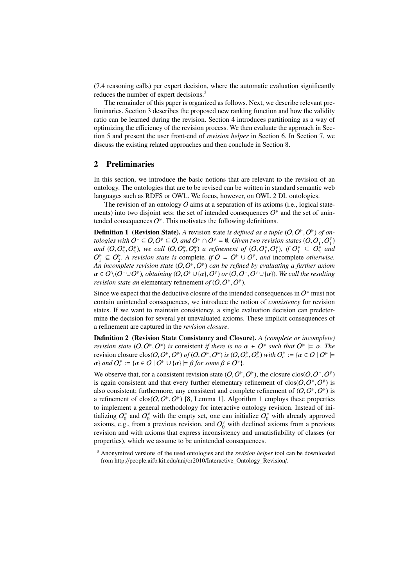(7.4 reasoning calls) per expert decision, where the automatic evaluation significantly reduces the number of expert decisions.<sup>3</sup>

The remainder of this paper is organized as follows. Next, we describe relevant preliminaries. Section 3 describes the proposed new ranking function and how the validity ratio can be learned during the revision. Section 4 introduces partitioning as a way of optimizing the efficiency of the revision process. We then evaluate the approach in Section 5 and present the user front-end of *revision helper* in Section 6. In Section 7, we discuss the existing related approaches and then conclude in Section 8.

# 2 Preliminaries

In this section, we introduce the basic notions that are relevant to the revision of an ontology. The ontologies that are to be revised can be written in standard semantic web languages such as RDFS or OWL. We focus, however, on OWL 2 DL ontologies.

The revision of an ontology  $O$  aims at a separation of its axioms (i.e., logical statements) into two disjoint sets: the set of intended consequences  $O^{\vDash}$  and the set of unintended consequences  $O^*$ . This motivates the following definitions.

**Definition 1 (Revision State).** *A* revision state *is defined as a tuple*  $(O, O^{\varepsilon}, O^{\varepsilon})$  *of on-*<br>tologies with  $O^{\varepsilon} \subseteq O$   $O^{\varepsilon} \subseteq O$  and  $O^{\varepsilon} \cap O^{\varepsilon} = \emptyset$ . Given two revision states  $(O, O^{\varepsilon}, O^{\varepsilon})$ *tologies with*  $O^{\varepsilon} \subseteq O, O^{\varepsilon} \subseteq O$ , and  $O^{\varepsilon} \cap O^{\varepsilon} = \emptyset$ . Given two revision states  $(O, O_{\varepsilon}^{\varepsilon}, O_{\varepsilon}^{\varepsilon})$  and  $(O, O^{\varepsilon} \cap O^{\varepsilon})$  we call  $(O, O^{\varepsilon} \cap O^{\varepsilon})$  a refinement of  $(O, O^{\varepsilon} \cap O^{\varepsilon})$  if *and*  $(O, O_2^{\epsilon}, O_2^{\epsilon})$ , we call  $(O, O_2^{\epsilon}, O_2^{\epsilon})$  *a refinement of*  $(O, O_1^{\epsilon}, O_1^{\epsilon})$ , if  $O_1^{\epsilon} \subseteq O_2^{\epsilon}$  *and*<br> $O^{\epsilon} \subseteq O_2^{\epsilon}$  *A revision state is complete if*  $O = O^{\epsilon} \cup O^{\epsilon}$  *and incomplete otherwise*  $O_1^{\mu} \subseteq O_2^{\mu}$ . A revision state is complete, if  $O = O^{\mu} \cup O^{\mu}$ , and incomplete *otherwise*. *An incomplete revision state*  $(O, O^{\models}, O^{\nvDash})$  *can be refined by evaluating a further axiom*  $\alpha \in O \setminus (O^{\models} \cup O^{\nvDash})$  *chaining*  $(O, O^{\models} \cup O^{\nvDash})$  *cr*  $(O, O^{\models} \cup O^{\nvDash} \cup \alpha)$ . *We call the resulting*  $\alpha \in \mathcal{O} \setminus (\mathcal{O}^{\models} \cup \mathcal{O}^{\sharp})$ , obtaining  $(\mathcal{O}, \mathcal{O}^{\models} \cup \{\alpha\}, \mathcal{O}^{\models})$  or  $(\mathcal{O}, \mathcal{O}^{\models}, \mathcal{O}^{\sharp} \cup \{\alpha\})$ . We call the resulting revision state an elementary refinement of  $(\mathcal{O}, \mathcal{O}^{\models}, \mathcal{O}^{\sharp})$ . *revision state an* elementary refinement *of*  $(O, O^{\varepsilon}, O^{\varepsilon})$ .

Since we expect that the deductive closure of the intended consequences in  $O^{\varepsilon}$  must not contain unintended consequences, we introduce the notion of *consistency* for revision states. If we want to maintain consistency, a single evaluation decision can predetermine the decision for several yet unevaluated axioms. These implicit consequences of a refinement are captured in the *revision closure*.

Definition 2 (Revision State Consistency and Closure). *A (complete or incomplete) revision state*  $(O, O^{\varepsilon}, O^{\varepsilon})$  *is* consistent *if there is no*  $\alpha \in O^{\varepsilon}$  *such that*  $O^{\varepsilon} \models \alpha$ . *The*<br>*revision closure clos(* $O, O^{\varepsilon} \cap^{\varepsilon} \cap^{\varepsilon} O^{\varepsilon} \cap^{\varepsilon} O^{\varepsilon}$ *) <i>is* ( $O, O^{\varepsilon} \cap^{\varepsilon} \cap^{\varepsilon$ revision closure clos( $O, O^{\varepsilon}, O^{\varepsilon}$ ) *of*  $(O, O^{\varepsilon}, O^{\varepsilon})$  *is*  $(O, O^{\varepsilon}_c, O^{\varepsilon}_c)$  *with*  $O^{\varepsilon}_c := {\alpha \in O \mid O^{\varepsilon} \models \alpha}$ <br> $\alpha \cdot \alpha \cdot \alpha O^{\varepsilon} \rightarrow 0$  $\alpha$ } *and*  $O_c^{\mu} := {\alpha \in O \mid O^{\mu} \cup {\alpha}} \models \beta$  *for some*  $\beta \in O^{\mu}$ *).* 

We observe that, for a consistent revision state  $(0, 0^{\dagger}, 0^{\mu})$ , the closure clos $(0, 0^{\dagger}, 0^{\mu})$ <br>is again consistent and that every further elementary refinement of clos( $\hat{O} \in \hat{O}^{\mu}$ ) is is again consistent and that every further elementary refinement of  $\cos(O, O^{\varepsilon}, O^{\varepsilon})$  is<br>also consistent: furthermore, any consistent and complete refinement of  $(O, O^{\varepsilon}, O^{\varepsilon})$  is also consistent; furthermore, any consistent and complete refinement of  $(0, 0^{\dagger}, 0^{\dagger})$  is<br>a refinement of clos( $0, 0^{\dagger}$ ,  $0^{\dagger}$ ) is Lemma 11. Algorithm 1 employs these properties a refinement of  $\cos(O, O^*)$ ,  $O^*$ ) [8, Lemma 1]. Algorithm 1 employs these properties<br>to implement a general methodology for interactive ontology revision. Instead of into implement a general methodology for interactive ontology revision. Instead of initializing  $O_0^{\varepsilon}$  and  $O_0^{\varepsilon}$  with the empty set, one can initialize  $O_0^{\varepsilon}$  with already approved axioms, e.g., from a previous revision, and  $O_0^*$  with declined axioms from a previous revision and with axioms that express inconsistency and unsatisfiability of classes (or properties), which we assume to be unintended consequences.

<sup>3</sup> Anonymized versions of the used ontologies and the *revision helper* tool can be downloaded from http://people.aifb.kit.edu/nni/or2010/Interactive\_Ontology\_Revision/.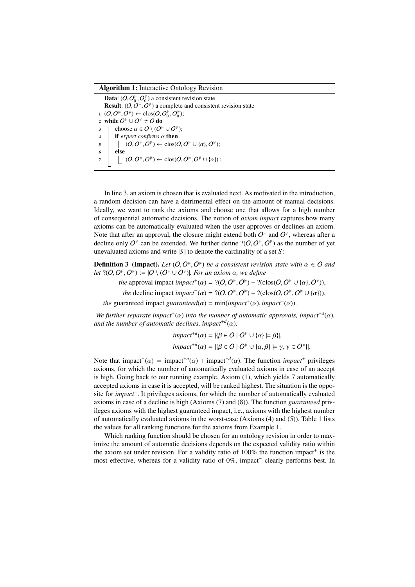Algorithm 1: Interactive Ontology Revision

**Data:**  $(O, O_0^{\varepsilon}, O_0^{\varepsilon})$  a consistent revision state<br>**Result:**  $(O, O_{\varepsilon}^{\varepsilon}, O_{\varepsilon}^{\varepsilon})$  a complete and consiste **Result:**  $(O, O^{\models}, O^{\not\models})$  a complete and consistent revision state  $(O, O^{\models} \cap^{\not\models}) \leftarrow \text{clos}(O, O^{\models} \cap^{\not\models})^{\vee}$ 1  $(O, O^{\models}, O^{\not\models}) \leftarrow \text{clos}(O, O_0^{\models}, O_0^{\not\models})$ ;<br>
2 while  $O^{\models} \cup O^{\not\models} \neq O$  do 2 while  $O^{\models} \cup O^{\not\models} \neq O$  do 3 choose  $\alpha \in O \setminus (O^{\models} \cup O^{\not\models})$ ;<br>4 if expert confirms  $\alpha$  then 4 if *expert confirms*  $\alpha$  then<br>5  $| (O, O^{\models}, O^{\mu}) \leftarrow \text{clos}(O^{\mu})$  $\mathcal{S} = \begin{bmatrix} (O, O^{\models}, O^{\ne}) & \leftarrow \text{clos}(O, O^{\models} \cup \{\alpha\}, O^{\ne}) ; \\ \text{else} \end{bmatrix}$ <sup>6</sup> else  $7 \quad \begin{bmatrix} \begin{array}{c} \end{array} \begin{bmatrix} \end{array} (O, O^{\varepsilon}, O^{\varepsilon}) \leftarrow \text{clos}(O, O^{\varepsilon}, O^{\varepsilon} \cup \{\alpha\}\end{array};$ 

In line 3, an axiom is chosen that is evaluated next. As motivated in the introduction, a random decision can have a detrimental effect on the amount of manual decisions. Ideally, we want to rank the axioms and choose one that allows for a high number of consequential automatic decisions. The notion of *axiom impact* captures how many axioms can be automatically evaluated when the user approves or declines an axiom. Note that after an approval, the closure might extend both  $O^{\varepsilon}$  and  $O^{\varepsilon}$ , whereas after a decline only  $O^*$  can be extended. We further define  $?(O,O^{\varepsilon},O^{\varepsilon})$  as the number of yet<br>unevaluated axioms and write [S] to denote the cardinality of a set S: unevaluated axioms and write  $|S|$  to denote the cardinality of a set *S*:

**Definition 3 (Impact).** *Let*  $(O, O^{\varepsilon}, O^{\varepsilon})$  *be a consistent revision state with*  $\alpha \in O$  *and let*  $2(O, O^{\varepsilon} \cap P) := |O \setminus (O^{\varepsilon}| \cup O^{\varepsilon}|)$  For an axiom  $\alpha$  we define *let*  $?(O, O^{\vDash}, O^{\vDash}) := |O \setminus (O^{\vDash} \cup O^{\vDash})|$ *. For an axiom*  $\alpha$ *, we define* 

*the* approval impact  $\text{im} \text{part}^+(\alpha) = ?(O, O^{\models}, O^{\not\models}) - ?(\text{clos}(O, O^{\models} \cup \{\alpha\}, O^{\not\models}))$ 

*the* decline impact *impact*<sup>−</sup>( $\alpha$ ) = ?( $O, O^{\vDash}, O^{\vDash}$ ) − ?(clos( $O, O^{\vDash}, O^{\vDash} \cup {\alpha}$ ))),

*the* guaranteed impact *guaranteed*( $\alpha$ ) = min(*impact*<sup>+</sup>( $\alpha$ ), *impact*<sup>−</sup>( $\alpha$ )).

We further separate impact<sup>+</sup>( $\alpha$ ) into the number of automatic approvals, impact<sup>+*a*</sup>( $\alpha$ ),<br>and the number of automatic declines impact<sup>+*d*</sup>( $\alpha$ ): *and the number of automatic declines, impact*<sup>+</sup>*<sup>d</sup>* (α)*:*

$$
impact^{+a}(\alpha) = |\{\beta \in O \mid O^{\models} \cup \{\alpha\} \models \beta\}|,
$$
  

$$
impact^{+d}(\alpha) = |\{\beta \in O \mid O^{\models} \cup \{\alpha, \beta\} \models \gamma, \gamma \in O^{\sharp}\}|.
$$

Note that impact<sup>+</sup> $(\alpha)$  = impact<sup>+*d*</sup>( $\alpha$ ) + impact<sup>+*d*</sup>( $\alpha$ ). The function *impact*<sup>+</sup> privileges axioms for which the number of automatically evaluated axioms in case of an accent axioms, for which the number of automatically evaluated axioms in case of an accept is high. Going back to our running example, Axiom (1), which yields 7 automatically accepted axioms in case it is accepted, will be ranked highest. The situation is the opposite for *impact*<sup>−</sup> . It privileges axioms, for which the number of automatically evaluated axioms in case of a decline is high (Axioms (7) and (8)). The function *guaranteed* privileges axioms with the highest guaranteed impact, i.e., axioms with the highest number of automatically evaluated axioms in the worst-case (Axioms (4) and (5)). Table 1 lists the values for all ranking functions for the axioms from Example 1.

Which ranking function should be chosen for an ontology revision in order to maximize the amount of automatic decisions depends on the expected validity ratio within the axiom set under revision. For a validity ratio of  $100\%$  the function impact<sup>+</sup> is the most effective, whereas for a validity ratio of 0%, impact<sup>-</sup> clearly performs best. In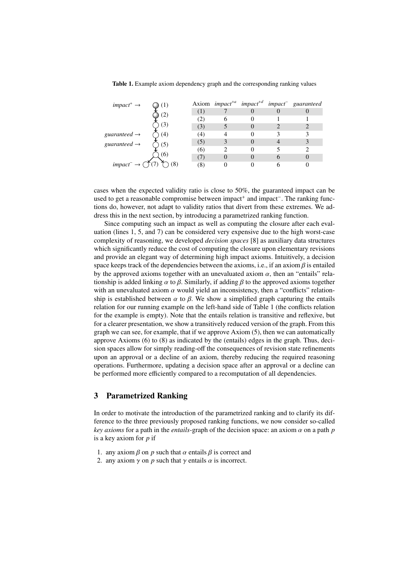Table 1. Example axiom dependency graph and the corresponding ranking values

| $impact^+ \rightarrow$    |     |               |  | Axiom impact <sup>+a</sup> impact <sup>+d</sup> impact <sup>-</sup> guaranteed |
|---------------------------|-----|---------------|--|--------------------------------------------------------------------------------|
|                           |     |               |  |                                                                                |
|                           |     | 2)            |  |                                                                                |
|                           |     |               |  |                                                                                |
| guaranteed $\rightarrow$  | (4) | $^{(4)}$      |  |                                                                                |
| guaranteed $\rightarrow$  | (5) | $\mathcal{L}$ |  |                                                                                |
|                           |     | (6)           |  |                                                                                |
|                           | (6) |               |  |                                                                                |
| $impact$ <sup>-</sup> $-$ |     | 8)            |  |                                                                                |

cases when the expected validity ratio is close to 50%, the guaranteed impact can be used to get a reasonable compromise between impact<sup>+</sup> and impact<sup>-</sup>. The ranking functions do, however, not adapt to validity ratios that divert from these extremes. We address this in the next section, by introducing a parametrized ranking function.

Since computing such an impact as well as computing the closure after each evaluation (lines 1, 5, and 7) can be considered very expensive due to the high worst-case complexity of reasoning, we developed *decision spaces* [8] as auxiliary data structures which significantly reduce the cost of computing the closure upon elementary revisions and provide an elegant way of determining high impact axioms. Intuitively, a decision space keeps track of the dependencies between the axioms, i.e., if an axiom  $\beta$  is entailed by the approved axioms together with an unevaluated axiom  $\alpha$ , then an "entails" relationship is added linking  $\alpha$  to  $\beta$ . Similarly, if adding  $\beta$  to the approved axioms together with an unevaluated axiom  $\alpha$  would yield an inconsistency, then a "conflicts" relationship is established between  $\alpha$  to  $\beta$ . We show a simplified graph capturing the entails relation for our running example on the left-hand side of Table 1 (the conflicts relation for the example is empty). Note that the entails relation is transitive and reflexive, but for a clearer presentation, we show a transitively reduced version of the graph. From this graph we can see, for example, that if we approve Axiom (5), then we can automatically approve Axioms (6) to (8) as indicated by the (entails) edges in the graph. Thus, decision spaces allow for simply reading-off the consequences of revision state refinements upon an approval or a decline of an axiom, thereby reducing the required reasoning operations. Furthermore, updating a decision space after an approval or a decline can be performed more efficiently compared to a recomputation of all dependencies.

## 3 Parametrized Ranking

In order to motivate the introduction of the parametrized ranking and to clarify its difference to the three previously proposed ranking functions, we now consider so-called *key axioms* for a path in the *entails*-graph of the decision space: an axiom  $\alpha$  on a path  $p$ is a key axiom for *p* if

- 1. any axiom  $\beta$  on  $p$  such that  $\alpha$  entails  $\beta$  is correct and
- 2. any axiom  $\gamma$  on  $p$  such that  $\gamma$  entails  $\alpha$  is incorrect.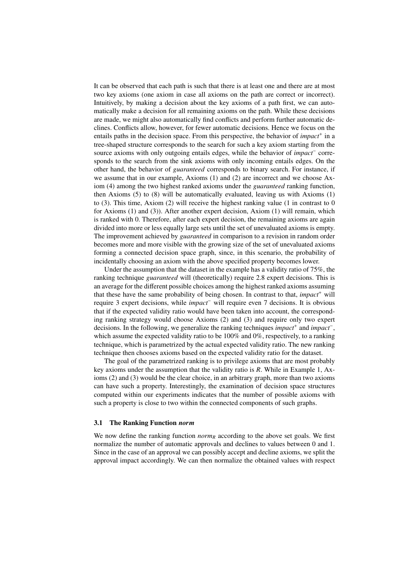It can be observed that each path is such that there is at least one and there are at most two key axioms (one axiom in case all axioms on the path are correct or incorrect). Intuitively, by making a decision about the key axioms of a path first, we can automatically make a decision for all remaining axioms on the path. While these decisions are made, we might also automatically find conflicts and perform further automatic declines. Conflicts allow, however, for fewer automatic decisions. Hence we focus on the entails paths in the decision space. From this perspective, the behavior of *impact*<sup>+</sup> in a tree-shaped structure corresponds to the search for such a key axiom starting from the source axioms with only outgoing entails edges, while the behavior of *impact*<sup>−</sup> corresponds to the search from the sink axioms with only incoming entails edges. On the other hand, the behavior of *guaranteed* corresponds to binary search. For instance, if we assume that in our example, Axioms (1) and (2) are incorrect and we choose Axiom (4) among the two highest ranked axioms under the *guaranteed* ranking function, then Axioms (5) to (8) will be automatically evaluated, leaving us with Axioms (1) to  $(3)$ . This time, Axiom  $(2)$  will receive the highest ranking value  $(1 \text{ in contrast to } 0)$ for Axioms (1) and (3)). After another expert decision, Axiom (1) will remain, which is ranked with 0. Therefore, after each expert decision, the remaining axioms are again divided into more or less equally large sets until the set of unevaluated axioms is empty. The improvement achieved by *guaranteed* in comparison to a revision in random order becomes more and more visible with the growing size of the set of unevaluated axioms forming a connected decision space graph, since, in this scenario, the probability of incidentally choosing an axiom with the above specified property becomes lower.

Under the assumption that the dataset in the example has a validity ratio of 75%, the ranking technique *guaranteed* will (theoretically) require 2.8 expert decisions. This is an average for the different possible choices among the highest ranked axioms assuming that these have the same probability of being chosen. In contrast to that, *impact*<sup>+</sup> will require 3 expert decisions, while *impact*<sup>−</sup> will require even 7 decisions. It is obvious that if the expected validity ratio would have been taken into account, the corresponding ranking strategy would choose Axioms (2) and (3) and require only two expert decisions. In the following, we generalize the ranking techniques *impact*<sup>+</sup> and *impact*<sup>−</sup>, which assume the expected validity ratio to be 100% and 0%, respectively, to a ranking technique, which is parametrized by the actual expected validity ratio. The new ranking technique then chooses axioms based on the expected validity ratio for the dataset.

The goal of the parametrized ranking is to privilege axioms that are most probably key axioms under the assumption that the validity ratio is *R*. While in Example 1, Axioms (2) and (3) would be the clear choice, in an arbitrary graph, more than two axioms can have such a property. Interestingly, the examination of decision space structures computed within our experiments indicates that the number of possible axioms with such a property is close to two within the connected components of such graphs.

#### 3.1 The Ranking Function *norm*

We now define the ranking function  $norm_R$  according to the above set goals. We first normalize the number of automatic approvals and declines to values between 0 and 1. Since in the case of an approval we can possibly accept and decline axioms, we split the approval impact accordingly. We can then normalize the obtained values with respect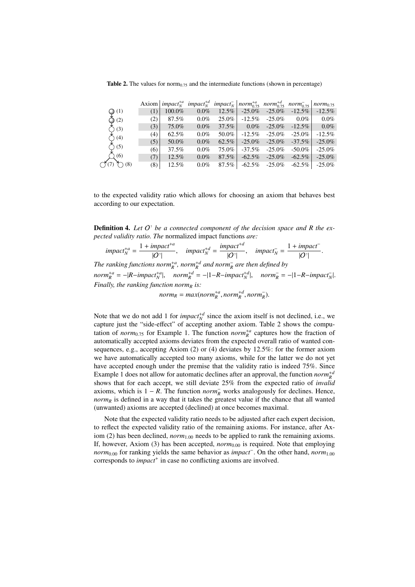**Table 2.** The values for norm $_{0.75}$  and the intermediate functions (shown in percentage)

|                |     | Axiom $\vert$ impact <sub>N</sub> <sup>+a</sup> impact <sub>N</sub> <sup>+d</sup> impact <sub>N</sub> norm <sup>+a</sup> <sub>0.75</sub> norm <sub>0.75</sub> norm <sub>0.75</sub> norm <sub>0.75</sub> |         |          |           |           |           |           |
|----------------|-----|---------------------------------------------------------------------------------------------------------------------------------------------------------------------------------------------------------|---------|----------|-----------|-----------|-----------|-----------|
| $\bigcirc$ (1) | (1) | 100.0%                                                                                                                                                                                                  | $0.0\%$ | $12.5\%$ | $-25.0\%$ | $-25.0\%$ | $-12.5\%$ | $-12.5\%$ |
| $\bigcirc$ (2) | (2) | 87.5%                                                                                                                                                                                                   | $0.0\%$ | 25.0%    | $-12.5%$  | $-25.0\%$ | $0.0\%$   | $0.0\%$   |
| $\bigcirc$ (3) | (3) | 75.0%                                                                                                                                                                                                   | $0.0\%$ | $37.5\%$ | $0.0\%$   | $-25.0\%$ | $-12.5\%$ | $0.0\%$   |
| $\bigcirc$ (4) | (4) | 62.5%                                                                                                                                                                                                   | $0.0\%$ | 50.0%    | $-12.5%$  | $-25.0\%$ | $-25.0\%$ | $-12.5%$  |
|                | (5) | 50.0%                                                                                                                                                                                                   | $0.0\%$ | $62.5\%$ | $-25.0\%$ | $-25.0\%$ | $-37.5\%$ | $-25.0\%$ |
| $\bigcirc$ (5) | (6) | 37.5%                                                                                                                                                                                                   | $0.0\%$ | 75.0%    | $-37.5\%$ | $-25.0\%$ | $-50.0\%$ | $-25.0\%$ |
| (6)            | (7) | $12.5\%$                                                                                                                                                                                                | $0.0\%$ | 87.5%    | $-62.5\%$ | $-25.0\%$ | $-62.5\%$ | $-25.0\%$ |
|                | (8) | 12.5%                                                                                                                                                                                                   | $0.0\%$ | 87.5%    | $-62.5\%$ | $-25.0\%$ | $-62.5\%$ | $-25.0\%$ |

to the expected validity ratio which allows for choosing an axiom that behaves best according to our expectation.

**Definition 4.** Let O<sup>*n*</sup> be a connected component of the decision space and R the ex*pected validity ratio. The* normalized impact functions *are:*

 $impact_N^{+a}$  =  $1 + impact^{+a}$  $\frac{mpart}{|O^{\gamma}|}$ , *impact*<sub>N</sub><sup>+d</sup> = | *impact*<sup>+</sup>*<sup>d</sup>*  $\frac{pact}{|O^{\gamma}|}$ , *impact*<sub>N</sub> = | 1 + *impact*<sup>−</sup>  $|O^{\gamma}|$ |

*The ranking functions norm*<sup>+*a*</sup>, norm<sup>+*d*</sup> and norm<sub>*R*</sub> are then defined by  ${norm}_{R}^{+a} = -|R - impact_{R}^{+a}|$ ,  ${norm}_{R}^{+d} = -|1 - R - impact_{N}^{+d}|$ ,  ${norm}_{R}^{-} = -|1 - R - impact_{N}^{-}|$ . *Finally, the ranking function norm<sub><i>R*</sub> is:</sub>

 $norm_R = max(norm_R^{+a}, norm_R^{+d}, norm_R^{-b}).$ 

Note that we do not add 1 for  $\text{impact}_{N}^{+d}$  since the axiom itself is not declined, i.e., we capture just the "side-effect" of accepting another axiom. Table 2 shows the computation of *norm*<sub>0.75</sub> for Example 1. The function *norm*<sup>+*a*</sup> captures how the fraction of outputed agents of *normal* and *R*<sup>*R*</sup> and *R*<sup>*R*</sup> and *R*<sup>*R*</sup> and *R*<sup>*R*</sup> and *R*<sup>*R*</sup> and *R*<sup>*R*</sup> and *R*<sup>*R*</sup> and *R*<sup>*</sup>* automatically accepted axioms deviates from the expected overall ratio of wanted consequences, e.g., accepting Axiom (2) or (4) deviates by 12.5%: for the former axiom we have automatically accepted too many axioms, while for the latter we do not yet have accepted enough under the premise that the validity ratio is indeed 75%. Since Example 1 does not allow for automatic declines after an approval, the function  $norm_R^{+a}$ shows that for each accept, we still deviate 25% from the expected ratio of *invalid* axioms, which is  $1 - R$ . The function *norm*<sub>R</sub><sup> $R$ </sup> works analogously for declines. Hence, *norm<sup>R</sup>* is defined in a way that it takes the greatest value if the chance that all wanted (unwanted) axioms are accepted (declined) at once becomes maximal.

Note that the expected validity ratio needs to be adjusted after each expert decision, to reflect the expected validity ratio of the remaining axioms. For instance, after Axiom (2) has been declined, *norm*<sup>1</sup>.<sup>00</sup> needs to be applied to rank the remaining axioms. If, however, Axiom (3) has been accepted,  $norm_{0.00}$  is required. Note that employing *norm*<sub>0.00</sub> for ranking yields the same behavior as *impact*<sup>−</sup>. On the other hand, *norm*<sub>1.00</sub><br>corresponds to *impact*<sup>+</sup> in ages no conflicting origins are involved. corresponds to *impact*<sup>+</sup> in case no conflicting axioms are involved.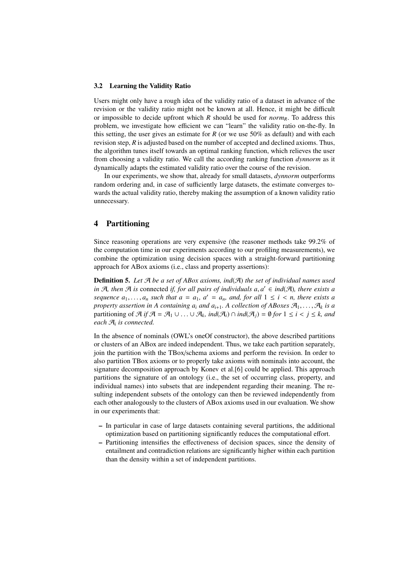#### 3.2 Learning the Validity Ratio

Users might only have a rough idea of the validity ratio of a dataset in advance of the revision or the validity ratio might not be known at all. Hence, it might be difficult or impossible to decide upfront which *R* should be used for *normR*. To address this problem, we investigate how efficient we can "learn" the validity ratio on-the-fly. In this setting, the user gives an estimate for  $R$  (or we use 50% as default) and with each revision step, *R* is adjusted based on the number of accepted and declined axioms. Thus, the algorithm tunes itself towards an optimal ranking function, which relieves the user from choosing a validity ratio. We call the according ranking function *dynnorm* as it dynamically adapts the estimated validity ratio over the course of the revision.

In our experiments, we show that, already for small datasets, *dynnorm* outperforms random ordering and, in case of sufficiently large datasets, the estimate converges towards the actual validity ratio, thereby making the assumption of a known validity ratio unnecessary.

## 4 Partitioning

Since reasoning operations are very expensive (the reasoner methods take 99.2% of the computation time in our experiments according to our profiling measurements), we combine the optimization using decision spaces with a straight-forward partitioning approach for ABox axioms (i.e., class and property assertions):

Definition 5. *Let* A *be a set of ABox axioms, ind*(A) *the set of individual names used in* A, then A *is* connected *if, for all pairs of individuals a,*  $a' \in ind(\mathcal{A})$ *, there exists a*<br>sequence  $a_1, a_2, a_3, a_4, a_5, a_6, a_7, a_8, a_9, a_9, a_1, a_2, a_3, a_4, a_5, a_7, a_8, a_9, a_9, a_1, a_2, a_3, a_4, a_5, a_7, a_8, a_9, a_9, a$ *sequence*  $a_1, \ldots, a_n$  *such that*  $a = a_1$ *,*  $a' = a_n$ *, and, for all*  $1 \le i \le n$ *, there exists* a *property assertion in A containing*  $a_i$  *and*  $a_{i+1}$ *. A collection of ABoxes*  $\mathcal{A}_1, \ldots, \mathcal{A}_k$  *is a* partitioning of  $\mathcal{A}$  *if*  $\mathcal{A} = \mathcal{A}_1 \cup ... \cup \mathcal{A}_k$ *, ind* $(\mathcal{A}_i) \cap \text{ind}(\mathcal{A}_i) = \emptyset$  for  $1 \leq i \leq j \leq k$ *, and each* A*<sup>i</sup> is connected.*

In the absence of nominals (OWL's oneOf constructor), the above described partitions or clusters of an ABox are indeed independent. Thus, we take each partition separately, join the partition with the TBox/schema axioms and perform the revision. In order to also partition TBox axioms or to properly take axioms with nominals into account, the signature decomposition approach by Konev et al.[6] could be applied. This approach partitions the signature of an ontology (i.e., the set of occurring class, property, and individual names) into subsets that are independent regarding their meaning. The resulting independent subsets of the ontology can then be reviewed independently from each other analogously to the clusters of ABox axioms used in our evaluation. We show in our experiments that:

- In particular in case of large datasets containing several partitions, the additional optimization based on partitioning significantly reduces the computational effort.
- Partitioning intensifies the effectiveness of decision spaces, since the density of entailment and contradiction relations are significantly higher within each partition than the density within a set of independent partitions.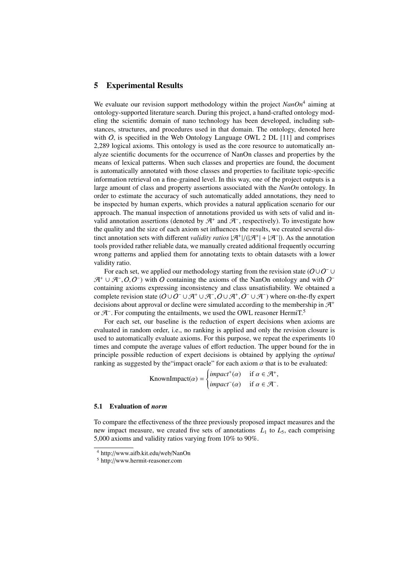## 5 Experimental Results

We evaluate our revision support methodology within the project *NanOn*<sup>4</sup> aiming at ontology-supported literature search. During this project, a hand-crafted ontology modeling the scientific domain of nano technology has been developed, including substances, structures, and procedures used in that domain. The ontology, denoted here with  $O$ , is specified in the Web Ontology Language OWL 2 DL [11] and comprises 2,289 logical axioms. This ontology is used as the core resource to automatically analyze scientific documents for the occurrence of NanOn classes and properties by the means of lexical patterns. When such classes and properties are found, the document is automatically annotated with those classes and properties to facilitate topic-specific information retrieval on a fine-grained level. In this way, one of the project outputs is a large amount of class and property assertions associated with the *NanOn* ontology. In order to estimate the accuracy of such automatically added annotations, they need to be inspected by human experts, which provides a natural application scenario for our approach. The manual inspection of annotations provided us with sets of valid and invalid annotation assertions (denoted by  $\mathcal{A}^+$  and  $\mathcal{A}^-$ , respectively). To investigate how the quality and the size of each axiom set influences the results, we created several distinct annotation sets with different *validity ratios*  $|\mathcal{A}^+|/(|\mathcal{A}^+| + |\mathcal{A}^-|)$ . As the annotation tools provided rather reliable data, we manually created additional frequently occurring tools provided rather reliable data, we manually created additional frequently occurring wrong patterns and applied them for annotating texts to obtain datasets with a lower validity ratio.

For each set, we applied our methodology starting from the revision state ( $O \cup O^- \cup$  $\mathcal{A}^+ \cup \mathcal{A}^-, O, O^-$  with O containing the axioms of the NanOn ontology and with O<sup>-</sup><br>containing axioms expressing inconsistency and class unsatisfiability. We obtained a containing axioms expressing inconsistency and class unsatisfiability. We obtained a complete revision state  $(O \cup O^- \cup \mathcal{A}^+ \cup \mathcal{A}^-, O \cup \mathcal{A}^+, O^- \cup \mathcal{A}^-)$  where on-the-fly expert<br>decisions about approval or decline were simulated according to the membership in  $\mathcal{A}^+$ decisions about approval or decline were simulated according to the membership in  $\mathcal{A}^+$ or  $\mathcal{A}^-$ . For computing the entailments, we used the OWL reasoner HermiT.<sup>5</sup>

For each set, our baseline is the reduction of expert decisions when axioms are evaluated in random order, i.e., no ranking is applied and only the revision closure is used to automatically evaluate axioms. For this purpose, we repeat the experiments 10 times and compute the average values of effort reduction. The upper bound for the in principle possible reduction of expert decisions is obtained by applying the *optimal* ranking as suggested by the "impact oracle" for each axiom  $\alpha$  that is to be evaluated:

$$
\text{KnownImport}(\alpha) = \begin{cases} \text{impact}^+(\alpha) & \text{if } \alpha \in \mathcal{A}^+, \\ \text{impact}^-(\alpha) & \text{if } \alpha \in \mathcal{A}^-. \end{cases}
$$

#### 5.1 Evaluation of *norm*

To compare the effectiveness of the three previously proposed impact measures and the new impact measure, we created five sets of annotations *L*<sup>1</sup> to *L*5, each comprising 5,000 axioms and validity ratios varying from 10% to 90%.

<sup>4</sup> http://www.aifb.kit.edu/web/NanOn

<sup>5</sup> http://www.hermit-reasoner.com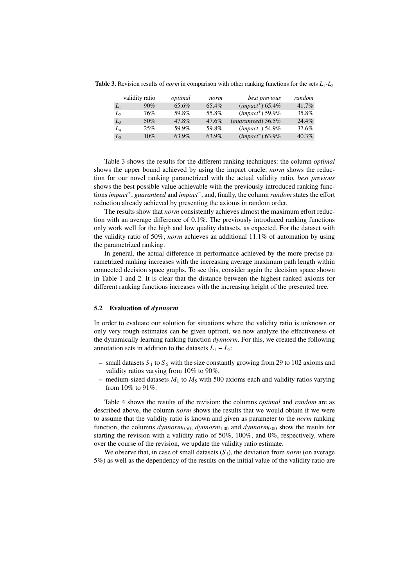**Table 3.** Revision results of *norm* in comparison with other ranking functions for the sets  $L_1$ - $L_5$ 

|                   | validity ratio | optimal | norm  | best previous        | random |
|-------------------|----------------|---------|-------|----------------------|--------|
| $L_1$             | 90%            | 65.6%   | 65.4% | $(impact+$ ) 65.4%   | 41.7%  |
| $\mathcal{L}_{2}$ | 76%            | 59.8%   | 55.8% | $(impact+$ ) 59.9%   | 35.8%  |
| $L_3$             | 50%            | 47.8%   | 47.6% | $(guaranteed)$ 36.5% | 24.4%  |
| $L_4$             | 25%            | 59.9%   | 59.8% | $(impact^-$ ) 54.9%  | 37.6%  |
| $L_5$             | 10%            | 63.9%   | 63.9% | $(impact^-$ ) 63.9%  | 40.3%  |

Table 3 shows the results for the different ranking techniques: the column *optimal* shows the upper bound achieved by using the impact oracle, *norm* shows the reduction for our novel ranking parametrized with the actual validity ratio, *best previous* shows the best possible value achievable with the previously introduced ranking functions *impact*<sup>+</sup> , *guaranteed* and *impact*<sup>−</sup> , and, finally, the column *random* states the effort reduction already achieved by presenting the axioms in random order.

The results show that *norm* consistently achieves almost the maximum effort reduction with an average difference of 0.1%. The previously introduced ranking functions only work well for the high and low quality datasets, as expected. For the dataset with the validity ratio of 50%, *norm* achieves an additional 11.1% of automation by using the parametrized ranking.

In general, the actual difference in performance achieved by the more precise parametrized ranking increases with the increasing average maximum path length within connected decision space graphs. To see this, consider again the decision space shown in Table 1 and 2. It is clear that the distance between the highest ranked axioms for different ranking functions increases with the increasing height of the presented tree.

#### 5.2 Evaluation of *dynnorm*

In order to evaluate our solution for situations where the validity ratio is unknown or only very rough estimates can be given upfront, we now analyze the effectiveness of the dynamically learning ranking function *dynnorm*. For this, we created the following annotation sets in addition to the datasets  $L_1 - L_5$ :

- small datasets  $S_1$  to  $S_5$  with the size constantly growing from 29 to 102 axioms and validity ratios varying from 10% to 90%,
- medium-sized datasets  $M_1$  to  $M_5$  with 500 axioms each and validity ratios varying from 10% to 91%.

Table 4 shows the results of the revision: the columns *optimal* and *random* are as described above, the column *norm* shows the results that we would obtain if we were to assume that the validity ratio is known and given as parameter to the *norm* ranking function, the columns  $dynnorm_{0.50}$ ,  $dynnorm_{1.00}$  and  $dynnorm_{0.00}$  show the results for starting the revision with a validity ratio of 50%, 100%, and 0%, respectively, where over the course of the revision, we update the validity ratio estimate.

We observe that, in case of small datasets (*S <sup>i</sup>*), the deviation from *norm* (on average 5%) as well as the dependency of the results on the initial value of the validity ratio are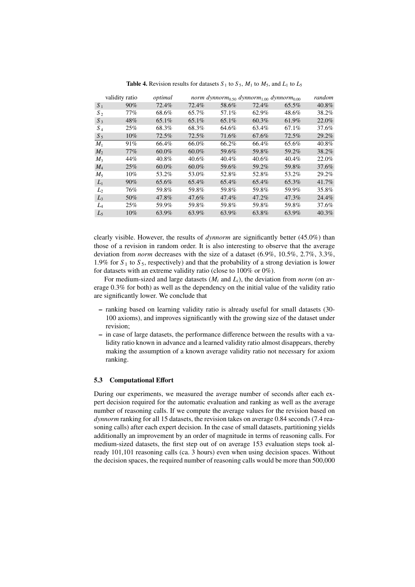|                   | validity ratio | optimal |          | norm dynnorm <sub>0.50</sub> dynnorm <sub>1.00</sub> dynnorm <sub>0.00</sub> |       |          | random |
|-------------------|----------------|---------|----------|------------------------------------------------------------------------------|-------|----------|--------|
| S <sub>1</sub>    | $90\%$         | 72.4%   | 72.4%    | 58.6%                                                                        | 72.4% | 65.5%    | 40.8%  |
| $S_2$             | 77%            | 68.6%   | 65.7%    | 57.1%                                                                        | 62.9% | 48.6%    | 38.2%  |
| $S_3$             | 48%            | 65.1%   | 65.1%    | 65.1%                                                                        | 60.3% | 61.9%    | 22.0%  |
| $S_4$             | 25%            | 68.3%   | 68.3%    | 64.6%                                                                        | 63.4% | 67.1%    | 37.6%  |
| $S_5$             | $10\%$         | 72.5%   | 72.5%    | 71.6%                                                                        | 67.6% | 72.5%    | 29.2%  |
| $M_1$             | 91%            | 66.4%   | 66.0%    | 66.2%                                                                        | 66.4% | 65.6%    | 40.8%  |
| $M_{2}$           | 77%            | 60.0%   | 60.0%    | 59.6%                                                                        | 59.8% | 59.2%    | 38.2%  |
| $M_{3}$           | 44%            | 40.8%   | 40.6%    | 40.4%                                                                        | 40.6% | 40.4%    | 22.0%  |
| $M_4$             | 25%            | 60.0%   | 60.0%    | 59.6%                                                                        | 59.2% | 59.8%    | 37.6%  |
| $M_{5}$           | $10\%$         | 53.2%   | 53.0%    | 52.8%                                                                        | 52.8% | 53.2%    | 29.2%  |
| $L_1$             | $90\%$         | 65.6%   | 65.4%    | 65.4%                                                                        | 65.4% | 65.3%    | 41.7%  |
| $\mathcal{L}_{2}$ | 76%            | 59.8%   | 59.8%    | 59.8%                                                                        | 59.8% | 59.9%    | 35.8%  |
| $L_3$             | 50%            | 47.8%   | $47.6\%$ | $47.4\%$                                                                     | 47.2% | $47.3\%$ | 24.4%  |
| $L_4$             | 25%            | 59.9%   | 59.8%    | 59.8%                                                                        | 59.8% | 59.8%    | 37.6%  |
| $L_5$             | 10%            | 63.9%   | 63.9%    | 63.9%                                                                        | 63.8% | 63.9%    | 40.3%  |

**Table 4.** Revision results for datasets  $S_1$  to  $S_5$ ,  $M_1$  to  $M_5$ , and  $L_1$  to  $L_5$ 

clearly visible. However, the results of *dynnorm* are significantly better (45.0%) than those of a revision in random order. It is also interesting to observe that the average deviation from *norm* decreases with the size of a dataset (6.9%, 10.5%, 2.7%, 3.3%, 1.9% for  $S_1$  to  $S_5$ , respectively) and that the probability of a strong deviation is lower for datasets with an extreme validity ratio (close to 100% or 0%).

For medium-sized and large datasets (*M<sup>i</sup>* and *Li*), the deviation from *norm* (on average 0.3% for both) as well as the dependency on the initial value of the validity ratio are significantly lower. We conclude that

- ranking based on learning validity ratio is already useful for small datasets (30- 100 axioms), and improves significantly with the growing size of the dataset under revision;
- in case of large datasets, the performance difference between the results with a validity ratio known in advance and a learned validity ratio almost disappears, thereby making the assumption of a known average validity ratio not necessary for axiom ranking.

#### 5.3 Computational Effort

During our experiments, we measured the average number of seconds after each expert decision required for the automatic evaluation and ranking as well as the average number of reasoning calls. If we compute the average values for the revision based on *dynnorm* ranking for all 15 datasets, the revision takes on average 0.84 seconds (7.4 reasoning calls) after each expert decision. In the case of small datasets, partitioning yields additionally an improvement by an order of magnitude in terms of reasoning calls. For medium-sized datasets, the first step out of on average 153 evaluation steps took already 101,101 reasoning calls (ca. 3 hours) even when using decision spaces. Without the decision spaces, the required number of reasoning calls would be more than 500,000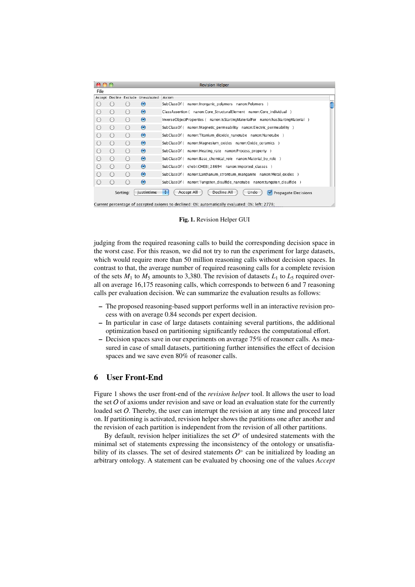|                  |                                                                                                     |                  |                                    | <b>Revision Helper</b>                                                                          |  |  |  |
|------------------|-----------------------------------------------------------------------------------------------------|------------------|------------------------------------|-------------------------------------------------------------------------------------------------|--|--|--|
| File             |                                                                                                     |                  |                                    |                                                                                                 |  |  |  |
|                  |                                                                                                     |                  | Accept Decline Exclude Unevaluated | Axiom                                                                                           |  |  |  |
|                  |                                                                                                     |                  | $\odot$                            | nanon: Inorganic polymers nanon: Polymers )<br>SubClassOf (                                     |  |  |  |
| $\left( \right)$ | $\left( \right)$                                                                                    | $\left( \right)$ | $\odot$                            | ClassAssertion ( nanon:Core StructuralElement nanon:Core individual )                           |  |  |  |
| $\circ$          | $\left( \right)$                                                                                    | $\left( \right)$ | $\odot$                            | InverseObjectProperties (nanon:isStartingMaterialFor nanon:hasStartingMaterial)                 |  |  |  |
| O                | $\bigcirc$                                                                                          | $\bigcirc$       | $\odot$                            | nanon: Magnetic_permeability nanon: Electric_permeability )<br>SubClassOf (                     |  |  |  |
| $\left( \right)$ | $\bigcirc$                                                                                          | $\bigcirc$       | $\odot$                            | SubClassOf (nanon:Titanium_dioxide_nanotube_nanon:Nanotube_)                                    |  |  |  |
| $\circ$          | $\bigcirc$                                                                                          | $\left( \right)$ | $\odot$                            | nanon: Magnesium_oxides nanon: Oxide_ceramics )<br>SubClassOf (                                 |  |  |  |
| O                | $\bigcirc$                                                                                          | $\bigcap$        | $\odot$                            | SubClassOf (<br>nanon:Heating_rate nanon:Process_property )                                     |  |  |  |
| $\left( \right)$ | ( )                                                                                                 | $\left( \right)$ | $\odot$                            | nanon:Base_chemical_role nanon:Material_by_role )<br>SubClassOf (                               |  |  |  |
| $\bigcirc$       | $\left( \right)$                                                                                    | $\left( \right)$ | $\odot$                            | SubClassOf ( chebi:CHEBI 28694 nanon:Imported classes )                                         |  |  |  |
| $\bigcirc$       | $\left( \right)$                                                                                    | $\bigcirc$       | $\odot$                            | nanon:Lanthanum strontium manganite nanon:Metal oxides )<br>SubClassOf (                        |  |  |  |
| O                |                                                                                                     | $\left( \right)$ | $\odot$                            | SubClassOf ( nanon:Tungsten disulfide nanotube nanon:tungsten disulfide )                       |  |  |  |
|                  | ÷<br>Decline All<br>Accept All<br>Undo<br>justintime<br>⊽<br>Sorting:<br><b>Propagate Decisions</b> |                  |                                    |                                                                                                 |  |  |  |
|                  |                                                                                                     |                  |                                    | Current percentage of accepted axioms to declined: 0%; automatically evaluated: 0%; left: 2778; |  |  |  |

Fig. 1. Revision Helper GUI

judging from the required reasoning calls to build the corresponding decision space in the worst case. For this reason, we did not try to run the experiment for large datasets, which would require more than 50 million reasoning calls without decision spaces. In contrast to that, the average number of required reasoning calls for a complete revision of the sets  $M_1$  to  $M_5$  amounts to 3,380. The revision of datasets  $L_1$  to  $L_5$  required overall on average 16,175 reasoning calls, which corresponds to between 6 and 7 reasoning calls per evaluation decision. We can summarize the evaluation results as follows:

- The proposed reasoning-based support performs well in an interactive revision process with on average 0.84 seconds per expert decision.
- In particular in case of large datasets containing several partitions, the additional optimization based on partitioning significantly reduces the computational effort.
- Decision spaces save in our experiments on average 75% of reasoner calls. As measured in case of small datasets, partitioning further intensifies the effect of decision spaces and we save even 80% of reasoner calls.

# 6 User Front-End

Figure 1 shows the user front-end of the *revision helper* tool. It allows the user to load the set  $\overline{O}$  of axioms under revision and save or load an evaluation state for the currently loaded set O. Thereby, the user can interrupt the revision at any time and proceed later on. If partitioning is activated, revision helper shows the partitions one after another and the revision of each partition is independent from the revision of all other partitions.

By default, revision helper initializes the set  $O^*$  of undesired statements with the minimal set of statements expressing the inconsistency of the ontology or unsatisfiability of its classes. The set of desired statements  $O<sup>F</sup>$  can be initialized by loading an arbitrary ontology. A statement can be evaluated by choosing one of the values *Accept*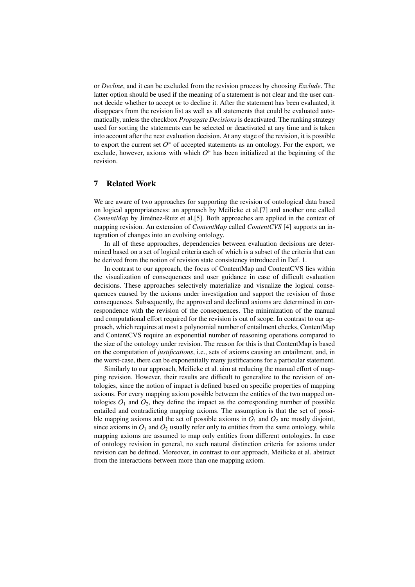or *Decline*, and it can be excluded from the revision process by choosing *Exclude*. The latter option should be used if the meaning of a statement is not clear and the user cannot decide whether to accept or to decline it. After the statement has been evaluated, it disappears from the revision list as well as all statements that could be evaluated automatically, unless the checkbox *Propagate Decisions* is deactivated. The ranking strategy used for sorting the statements can be selected or deactivated at any time and is taken into account after the next evaluation decision. At any stage of the revision, it is possible to export the current set  $O^{\varepsilon}$  of accepted statements as an ontology. For the export, we exclude, however, axioms with which  $O^{\dagger}$  has been initialized at the beginning of the revision.

## 7 Related Work

We are aware of two approaches for supporting the revision of ontological data based on logical appropriateness: an approach by Meilicke et al.[7] and another one called *ContentMap* by Jiménez-Ruiz et al.[5]. Both approaches are applied in the context of mapping revision. An extension of *ContentMap* called *ContentCVS* [4] supports an integration of changes into an evolving ontology.

In all of these approaches, dependencies between evaluation decisions are determined based on a set of logical criteria each of which is a subset of the criteria that can be derived from the notion of revision state consistency introduced in Def. 1.

In contrast to our approach, the focus of ContentMap and ContentCVS lies within the visualization of consequences and user guidance in case of difficult evaluation decisions. These approaches selectively materialize and visualize the logical consequences caused by the axioms under investigation and support the revision of those consequences. Subsequently, the approved and declined axioms are determined in correspondence with the revision of the consequences. The minimization of the manual and computational effort required for the revision is out of scope. In contrast to our approach, which requires at most a polynomial number of entailment checks, ContentMap and ContentCVS require an exponential number of reasoning operations compared to the size of the ontology under revision. The reason for this is that ContentMap is based on the computation of *justifications*, i.e., sets of axioms causing an entailment, and, in the worst-case, there can be exponentially many justifications for a particular statement.

Similarly to our approach, Meilicke et al. aim at reducing the manual effort of mapping revision. However, their results are difficult to generalize to the revision of ontologies, since the notion of impact is defined based on specific properties of mapping axioms. For every mapping axiom possible between the entities of the two mapped ontologies  $O_1$  and  $O_2$ , they define the impact as the corresponding number of possible entailed and contradicting mapping axioms. The assumption is that the set of possible mapping axioms and the set of possible axioms in  $O_1$  and  $O_2$  are mostly disjoint, since axioms in  $O_1$  and  $O_2$  usually refer only to entities from the same ontology, while mapping axioms are assumed to map only entities from different ontologies. In case of ontology revision in general, no such natural distinction criteria for axioms under revision can be defined. Moreover, in contrast to our approach, Meilicke et al. abstract from the interactions between more than one mapping axiom.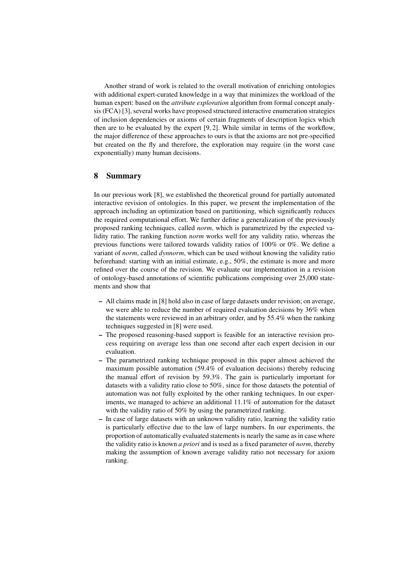Another strand of work is related to the overall motivation of enriching ontologies with additional expert-curated knowledge in a way that minimizes the workload of the human expert: based on the *attribute exploration* algorithm from formal concept analysis (FCA) [3], several works have proposed structured interactive enumeration strategies of inclusion dependencies or axioms of certain fragments of description logics which then are to be evaluated by the expert [9, 2]. While similar in terms of the workflow, the major difference of these approaches to ours is that the axioms are not pre-specified but created on the fly and therefore, the exploration may require (in the worst case exponentially) many human decisions.

## 8 Summary

In our previous work [8], we established the theoretical ground for partially automated interactive revision of ontologies. In this paper, we present the implementation of the approach including an optimization based on partitioning, which significantly reduces the required computational effort. We further define a generalization of the previously proposed ranking techniques, called *norm*, which is parametrized by the expected validity ratio. The ranking function *norm* works well for any validity ratio, whereas the previous functions were tailored towards validity ratios of 100% or 0%. We define a variant of *norm*, called *dynnorm*, which can be used without knowing the validity ratio beforehand: starting with an initial estimate, e.g., 50%, the estimate is more and more refined over the course of the revision. We evaluate our implementation in a revision of ontology-based annotations of scientific publications comprising over 25,000 statements and show that

- All claims made in [8] hold also in case of large datasets under revision; on average, we were able to reduce the number of required evaluation decisions by 36% when the statements were reviewed in an arbitrary order, and by 55.4% when the ranking techniques suggested in [8] were used.
- The proposed reasoning-based support is feasible for an interactive revision process requiring on average less than one second after each expert decision in our evaluation.
- The parametrized ranking technique proposed in this paper almost achieved the maximum possible automation (59.4% of evaluation decisions) thereby reducing the manual effort of revision by 59.3%. The gain is particularly important for datasets with a validity ratio close to 50%, since for those datasets the potential of automation was not fully exploited by the other ranking techniques. In our experiments, we managed to achieve an additional 11.1% of automation for the dataset with the validity ratio of 50% by using the parametrized ranking.
- In case of large datasets with an unknown validity ratio, learning the validity ratio is particularly effective due to the law of large numbers. In our experiments, the proportion of automatically evaluated statements is nearly the same as in case where the validity ratio is known *a priori* and is used as a fixed parameter of *norm*, thereby making the assumption of known average validity ratio not necessary for axiom ranking.